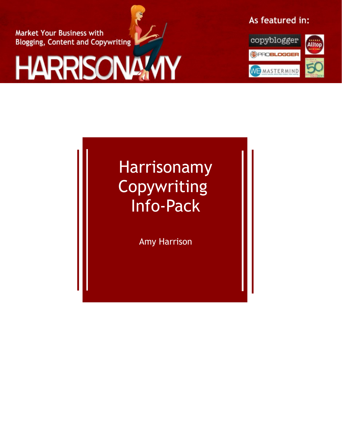**Market Your Business with Blogging, Content and Copywriting** 



# As featured in:



# Harrisonamy Copywriting Info-Pack

Amy Harrison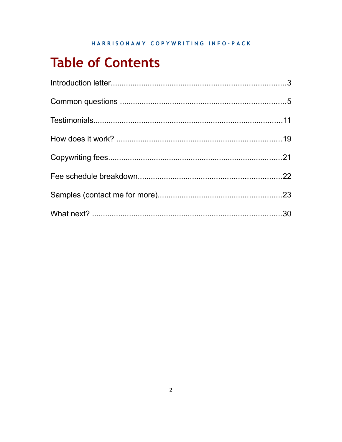# **Table of Contents**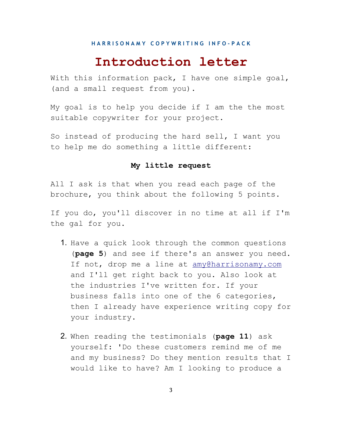# **Introduction letter**

With this information pack, I have one simple goal, (and a small request from you).

My goal is to help you decide if I am the the most suitable copywriter for your project.

So instead of producing the hard sell, I want you to help me do something a little different:

#### **My little request**

All I ask is that when you read each page of the brochure, you think about the following 5 points.

If you do, you'll discover in no time at all if I'm the gal for you.

- 1. Have a quick look through the common questions (**page 5**) and see if there's an answer you need. If not, drop me a line at [amy@harrisonamy.com](mailto:amy@harrisonamy.com) and I'll get right back to you. Also look at the industries I've written for. If your business falls into one of the 6 categories, then I already have experience writing copy for your industry.
- 2. When reading the testimonials (**page 11**) ask yourself: 'Do these customers remind me of me and my business? Do they mention results that I would like to have? Am I looking to produce a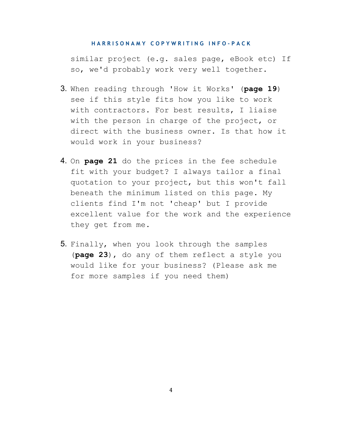similar project (e.g. sales page, eBook etc) If so, we'd probably work very well together.

- 3. When reading through 'How it Works' (**page 19**) see if this style fits how you like to work with contractors. For best results, I liaise with the person in charge of the project, or direct with the business owner. Is that how it would work in your business?
- 4. On **page 21** do the prices in the fee schedule fit with your budget? I always tailor a final quotation to your project, but this won't fall beneath the minimum listed on this page. My clients find I'm not 'cheap' but I provide excellent value for the work and the experience they get from me.
- 5. Finally, when you look through the samples (**page 23**), do any of them reflect a style you would like for your business? (Please ask me for more samples if you need them)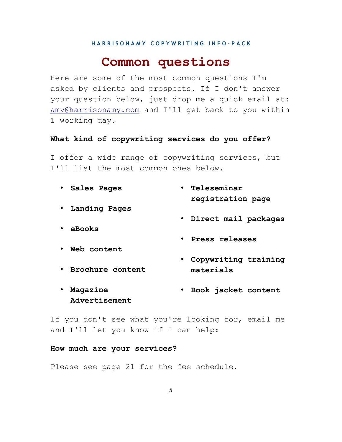# **Common questions**

Here are some of the most common questions I'm asked by clients and prospects. If I don't answer your question below, just drop me a quick email at: [amy@harrisonamy.com](mailto:amy@harrisonamy.com) and I'll get back to you within 1 working day.

#### **What kind of copywriting services do you offer?**

I offer a wide range of copywriting services, but I'll list the most common ones below.

- **Sales Pages** • **Teleseminar**
- **Landing Pages**
- **eBooks**
- **Web content**

• **Brochure content**

- **registration page**
- **Direct mail packages**
- **Press releases**
- **Copywriting training materials**
- **Magazine Advertisement** • **Book jacket content**

If you don't see what you're looking for, email me and I'll let you know if I can help:

#### **How much are your services?**

Please see page 21 for the fee schedule.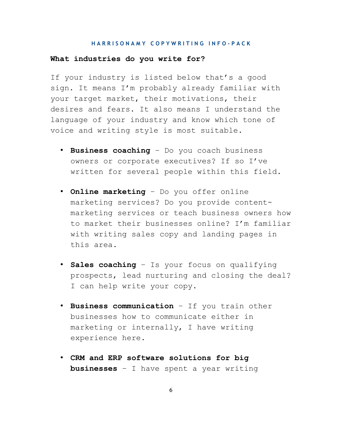#### **What industries do you write for?**

If your industry is listed below that's a good sign. It means I'm probably already familiar with your target market, their motivations, their desires and fears. It also means I understand the language of your industry and know which tone of voice and writing style is most suitable.

- **Business coaching** Do you coach business owners or corporate executives? If so I've written for several people within this field.
- **Online marketing** Do you offer online marketing services? Do you provide contentmarketing services or teach business owners how to market their businesses online? I'm familiar with writing sales copy and landing pages in this area.
- **Sales coaching** Is your focus on qualifying prospects, lead nurturing and closing the deal? I can help write your copy.
- **Business communication** If you train other businesses how to communicate either in marketing or internally, I have writing experience here.
- **CRM and ERP software solutions for big businesses** – I have spent a year writing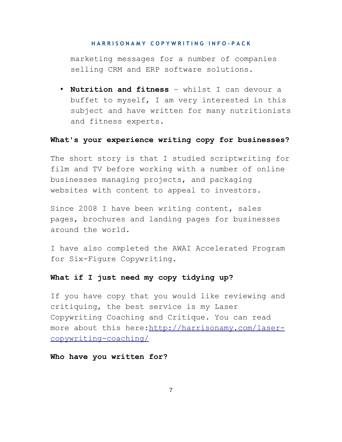marketing messages for a number of companies selling CRM and ERP software solutions.

• **Nutrition and fitness** – whilst I can devour a buffet to myself, I am very interested in this subject and have written for many nutritionists and fitness experts.

#### **What's your experience writing copy for businesses?**

The short story is that I studied scriptwriting for film and TV before working with a number of online businesses managing projects, and packaging websites with content to appeal to investors.

Since 2008 I have been writing content, sales pages, brochures and landing pages for businesses around the world.

I have also completed the AWAI Accelerated Program for Six-Figure Copywriting.

#### **What if I just need my copy tidying up?**

If you have copy that you would like reviewing and critiquing, the best service is my Laser Copywriting Coaching and Critique. You can read more about this here[:http://harrisonamy.com/laser](http://harrisonamy.com/laser-copywriting-coaching/)[copywriting-coaching/](http://harrisonamy.com/laser-copywriting-coaching/) 

#### **Who have you written for?**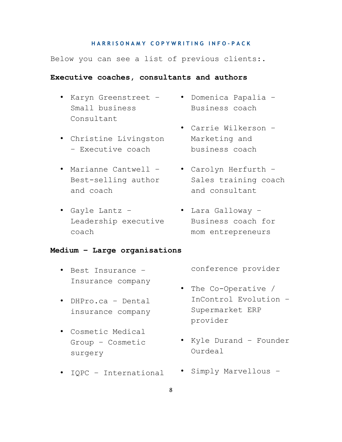Below you can see a list of previous clients:.

#### **Executive coaches, consultants and authors**

- Small business Consultant
- Christine Livingston – Executive coach
- Marianne Cantwell Best-selling author and coach
- Gayle Lantz Leadership executive coach
- Karyn Greenstreet Domenica Papalia Business coach
	- Carrie Wilkerson Marketing and business coach
	- Carolyn Herfurth Sales training coach and consultant
	- Lara Galloway Business coach for mom entrepreneurs

#### **Medium – Large organisations**

- Best Insurance Insurance company
- DHPro.ca Dental insurance company
- Cosmetic Medical Group – Cosmetic surgery
- IQPC International

conference provider

- The Co-Operative / InControl Evolution – Supermarket ERP provider
- Kyle Durand Founder Ourdeal
- Simply Marvellous –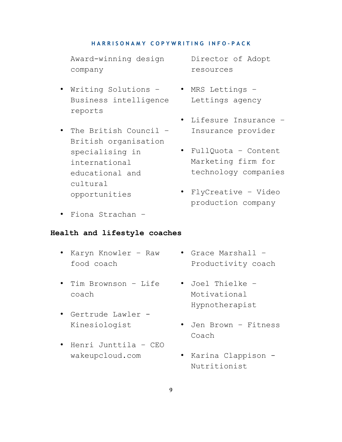Award-winning design company

- Writing Solutions Business intelligence reports
- The British Council British organisation specialising in international educational and cultural opportunities
- Fiona Strachan –

#### **Health and lifestyle coaches**

- Karyn Knowler Raw food coach
- Tim Brownson Life coach
- Gertrude Lawler Kinesiologist
- Henri Junttila CEO wakeupcloud.com

Director of Adopt resources

- MRS Lettings Lettings agency
	- Lifesure Insurance Insurance provider
	- FullQuota Content Marketing firm for technology companies
	- FlyCreative Video production company
	- Grace Marshall Productivity coach
	- Joel Thielke Motivational Hypnotherapist
	- Jen Brown Fitness Coach
	- Karina Clappison Nutritionist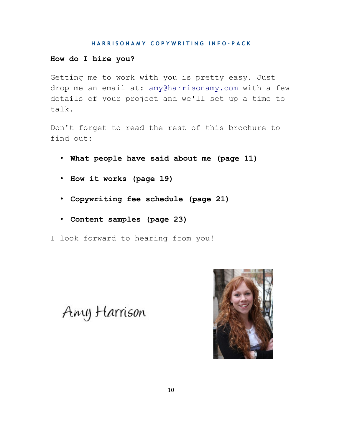#### **How do I hire you?**

Getting me to work with you is pretty easy. Just drop me an email at: [amy@harrisonamy.com](mailto:amy@harrisonamy.com) with a few details of your project and we'll set up a time to talk.

Don't forget to read the rest of this brochure to find out:

- **What people have said about me (page 11)**
- **How it works (page 19)**
- **Copywriting fee schedule (page 21)**
- **Content samples (page 23)**
- I look forward to hearing from you!

Any Harrison

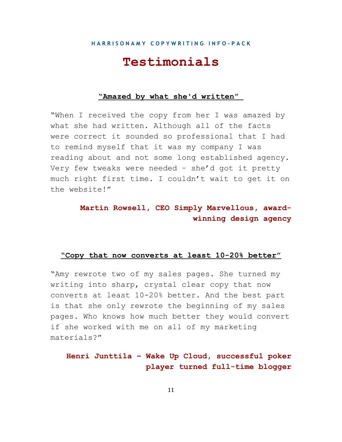# **Testimonials**

#### **"Amazed by what she'd written"**

"When I received the copy from her I was amazed by what she had written. Although all of the facts were correct it sounded so professional that I had to remind myself that it was my company I was reading about and not some long established agency. Very few tweaks were needed – she'd got it pretty much right first time. I couldn't wait to get it on the website!"

### **Martin Rowsell, CEO Simply Marvellous, awardwinning design agency**

#### **"Copy that now converts at least 10-20% better"**

"Amy rewrote two of my sales pages. She turned my writing into sharp, crystal clear copy that now converts at least 10-20% better. And the best part is that she only rewrote the beginning of my sales pages. Who knows how much better they would convert if she worked with me on all of my marketing materials?"

### **Henri Junttila – Wake Up Cloud, successful poker player turned full-time blogger**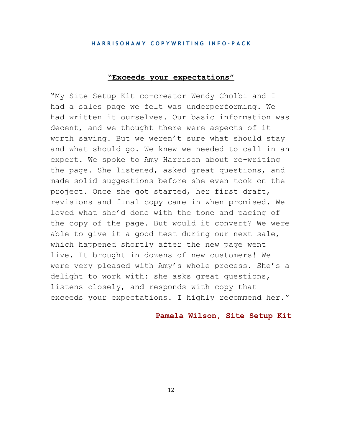#### **"Exceeds your expectations"**

"My Site Setup Kit co-creator Wendy Cholbi and I had a sales page we felt was underperforming. We had written it ourselves. Our basic information was decent, and we thought there were aspects of it worth saving. But we weren't sure what should stay and what should go. We knew we needed to call in an expert. We spoke to Amy Harrison about re-writing the page. She listened, asked great questions, and made solid suggestions before she even took on the project. Once she got started, her first draft, revisions and final copy came in when promised. We loved what she'd done with the tone and pacing of the copy of the page. But would it convert? We were able to give it a good test during our next sale, which happened shortly after the new page went live. It brought in dozens of new customers! We were very pleased with Amy's whole process. She's a delight to work with: she asks great questions, listens closely, and responds with copy that exceeds your expectations. I highly recommend her."

#### **Pamela Wilson, Site Setup Kit**

12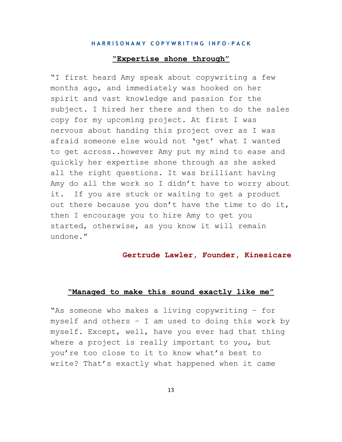#### **"Expertise shone through"**

"I first heard Amy speak about copywriting a few months ago, and immediately was hooked on her spirit and vast knowledge and passion for the subject. I hired her there and then to do the sales copy for my upcoming project. At first I was nervous about handing this project over as I was afraid someone else would not 'get' what I wanted to get across..however Amy put my mind to ease and quickly her expertise shone through as she asked all the right questions. It was brilliant having Amy do all the work so I didn't have to worry about it. If you are stuck or waiting to get a product out there because you don't have the time to do it, then I encourage you to hire Amy to get you started, otherwise, as you know it will remain undone."

#### **Gertrude Lawler, Founder, Kinesicare**

#### **"Managed to make this sound exactly like me"**

"As someone who makes a living copywriting – for myself and others – I am used to doing this work by myself. Except, well, have you ever had that thing where a project is really important to you, but you're too close to it to know what's best to write? That's exactly what happened when it came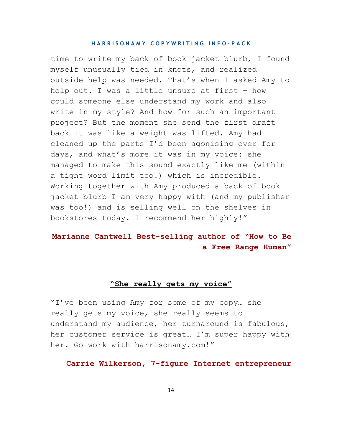time to write my back of book jacket blurb, I found myself unusually tied in knots, and realized outside help was needed. That's when I asked Amy to help out. I was a little unsure at first – how could someone else understand my work and also write in my style? And how for such an important project? But the moment she send the first draft back it was like a weight was lifted. Amy had cleaned up the parts I'd been agonising over for days, and what's more it was in my voice: she managed to make this sound exactly like me (within a tight word limit too!) which is incredible. Working together with Amy produced a back of book jacket blurb I am very happy with (and my publisher was too!) and is selling well on the shelves in bookstores today. I recommend her highly!"

### **Marianne Cantwell Best-selling author of "How to Be a Free Range Human"**

#### **"She really gets my voice"**

"I've been using Amy for some of my copy… she really gets my voice, she really seems to understand my audience, her turnaround is fabulous, her customer service is great… I'm super happy with her. Go work with harrisonamy.com!"

#### **Carrie Wilkerson, 7-figure Internet entrepreneur**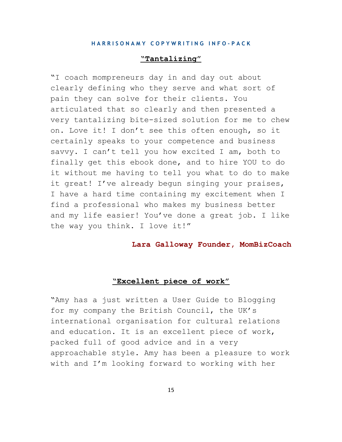#### **"Tantalizing"**

"I coach mompreneurs day in and day out about clearly defining who they serve and what sort of pain they can solve for their clients. You articulated that so clearly and then presented a very tantalizing bite-sized solution for me to chew on. Love it! I don't see this often enough, so it certainly speaks to your competence and business savvy. I can't tell you how excited I am, both to finally get this ebook done, and to hire YOU to do it without me having to tell you what to do to make it great! I've already begun singing your praises, I have a hard time containing my excitement when I find a professional who makes my business better and my life easier! You've done a great job. I like the way you think. I love it!"

#### **Lara Galloway Founder, MomBizCoach**

#### **"Excellent piece of work"**

"Amy has a just written a User Guide to Blogging for my company the British Council, the UK's international organisation for cultural relations and education. It is an excellent piece of work, packed full of good advice and in a very approachable style. Amy has been a pleasure to work with and I'm looking forward to working with her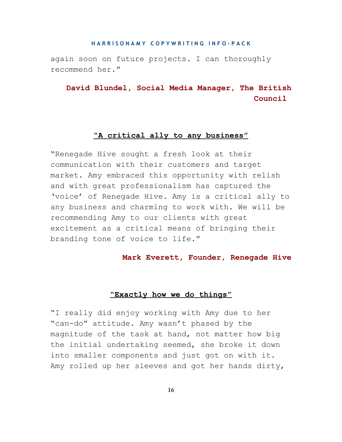again soon on future projects. I can thoroughly recommend her."

**David Blundel, Social Media Manager, The British Council** 

#### **"A critical ally to any business"**

"Renegade Hive sought a fresh look at their communication with their customers and target market. Amy embraced this opportunity with relish and with great professionalism has captured the 'voice' of Renegade Hive. Amy is a critical ally to any business and charming to work with. We will be recommending Amy to our clients with great excitement as a critical means of bringing their branding tone of voice to life."

**Mark Everett, Founder, Renegade Hive**

#### **"Exactly how we do things"**

"I really did enjoy working with Amy due to her "can-do" attitude. Amy wasn't phased by the magnitude of the task at hand, not matter how big the initial undertaking seemed, she broke it down into smaller components and just got on with it. Amy rolled up her sleeves and got her hands dirty,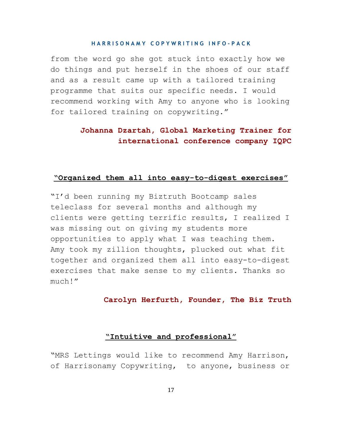from the word go she got stuck into exactly how we do things and put herself in the shoes of our staff and as a result came up with a tailored training programme that suits our specific needs. I would recommend working with Amy to anyone who is looking for tailored training on copywriting."

### **Johanna Dzartah, Global Marketing Trainer for international conference company IQPC**

#### **"Organized them all into easy-to-digest exercises"**

"I'd been running my Biztruth Bootcamp sales teleclass for several months and although my clients were getting terrific results, I realized I was missing out on giving my students more opportunities to apply what I was teaching them. Amy took my zillion thoughts, plucked out what fit together and organized them all into easy-to-digest exercises that make sense to my clients. Thanks so much!"

#### **Carolyn Herfurth, Founder, The Biz Truth**

#### **"Intuitive and professional"**

"MRS Lettings would like to recommend Amy Harrison, of Harrisonamy Copywriting, to anyone, business or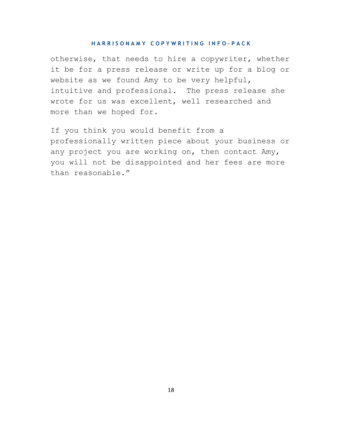otherwise, that needs to hire a copywriter, whether it be for a press release or write up for a blog or website as we found Amy to be very helpful, intuitive and professional. The press release she wrote for us was excellent, well researched and more than we hoped for.

If you think you would benefit from a professionally written piece about your business or any project you are working on, then contact Amy, you will not be disappointed and her fees are more than reasonable."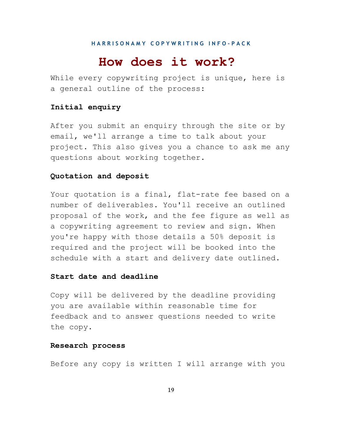### **How does it work?**

While every copywriting project is unique, here is a general outline of the process:

#### **Initial enquiry**

After you submit an enquiry through the site or by email, we'll arrange a time to talk about your project. This also gives you a chance to ask me any questions about working together.

#### **Quotation and deposit**

Your quotation is a final, flat-rate fee based on a number of deliverables. You'll receive an outlined proposal of the work, and the fee figure as well as a copywriting agreement to review and sign. When you're happy with those details a 50% deposit is required and the project will be booked into the schedule with a start and delivery date outlined.

#### **Start date and deadline**

Copy will be delivered by the deadline providing you are available within reasonable time for feedback and to answer questions needed to write the copy.

#### **Research process**

Before any copy is written I will arrange with you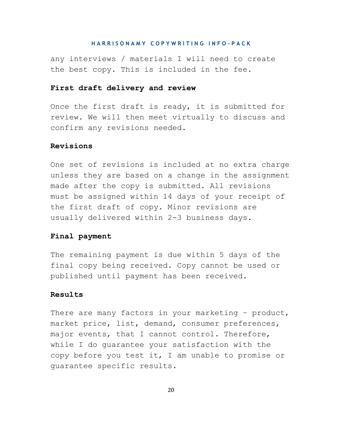any interviews / materials I will need to create the best copy. This is included in the fee.

#### **First draft delivery and review**

Once the first draft is ready, it is submitted for review. We will then meet virtually to discuss and confirm any revisions needed.

#### **Revisions**

One set of revisions is included at no extra charge unless they are based on a change in the assignment made after the copy is submitted. All revisions must be assigned within 14 days of your receipt of the first draft of copy. Minor revisions are usually delivered within 2-3 business days.

#### **Final payment**

The remaining payment is due within 5 days of the final copy being received. Copy cannot be used or published until payment has been received.

#### **Results**

There are many factors in your marketing - product, market price, list, demand, consumer preferences, major events, that I cannot control. Therefore, while I do guarantee your satisfaction with the copy before you test it, I am unable to promise or guarantee specific results.

20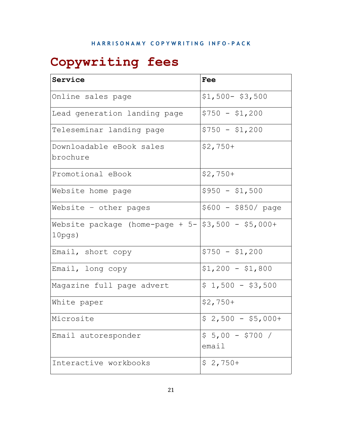# **Copywriting fees**

| Service                                                                     | Fee                       |
|-----------------------------------------------------------------------------|---------------------------|
| Online sales page                                                           | $$1,500-$ \$3,500         |
| Lead generation landing page                                                | $$750 - $1,200$           |
| Teleseminar landing page                                                    | $$750 - $1,200$           |
| Downloadable eBook sales<br>brochure                                        | $$2,750+$                 |
| Promotional eBook                                                           | $$2,750+$                 |
| Website home page                                                           | $$950 - $1,500$           |
| Website $-$ other pages                                                     | $$600 - $850/ page$       |
| Website package (home-page + $5 -   $3,500 - $5,000 +$<br>10 <sub>pgs</sub> |                           |
| Email, short copy                                                           | $$750 - $1,200$           |
| Email, long copy                                                            | $$1,200 - $1,800$         |
| Magazine full page advert                                                   | $$1,500 - $3,500$         |
| White paper                                                                 | $$2,750+$                 |
| Microsite                                                                   | $$2,500 - $5,000+$        |
| Email autoresponder                                                         | $$5,00 - $700 /$<br>emai1 |
| Interactive workbooks                                                       | $$2,750+$                 |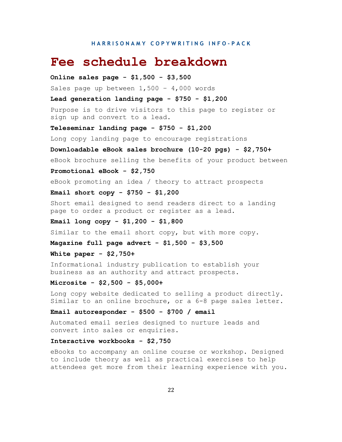### **Fee schedule breakdown**

**Online sales page - \$1,500 - \$3,500** Sales page up between  $1,500 - 4,000$  words **Lead generation landing page - \$750 - \$1,200** Purpose is to drive visitors to this page to register or sign up and convert to a lead. **Teleseminar landing page - \$750 - \$1,200** Long copy landing page to encourage registrations **Downloadable eBook sales brochure (10-20 pgs) - \$2,750+** eBook brochure selling the benefits of your product between **Promotional eBook - \$2,750** eBook promoting an idea / theory to attract prospects **Email short copy - \$750 - \$1,200**

Short email designed to send readers direct to a landing page to order a product or register as a lead.

#### **Email long copy - \$1,200 - \$1,800**

Similar to the email short copy, but with more copy.

**Magazine full page advert - \$1,500 - \$3,500**

**White paper - \$2,750+**

Informational industry publication to establish your business as an authority and attract prospects.

**Microsite - \$2,500 - \$5,000+**

Long copy website dedicated to selling a product directly. Similar to an online brochure, or a 6-8 page sales letter.

#### **Email autoresponder - \$500 - \$700 / email**

Automated email series designed to nurture leads and convert into sales or enquiries.

#### **Interactive workbooks - \$2,750**

eBooks to accompany an online course or workshop. Designed to include theory as well as practical exercises to help attendees get more from their learning experience with you.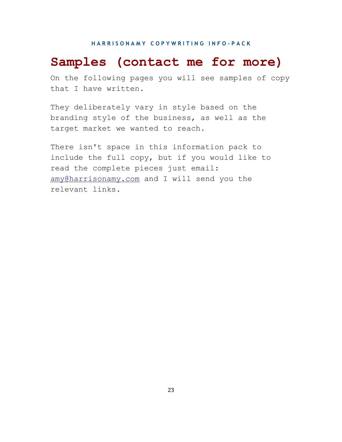# **Samples (contact me for more)**

On the following pages you will see samples of copy that I have written.

They deliberately vary in style based on the branding style of the business, as well as the target market we wanted to reach.

There isn't space in this information pack to include the full copy, but if you would like to read the complete pieces just email: [amy@harrisonamy.com](mailto:amy@harrisonamy.com) and I will send you the relevant links.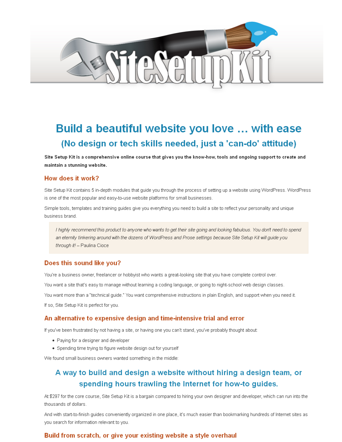

# Build a beautiful website you love ... with ease (No design or tech skills needed, just a 'can-do' attitude)

Site Setup Kit is a comprehensive online course that gives you the know-how, tools and ongoing support to create and maintain a stunning website.

#### How does it work?

Site Setup Kit contains 5 in-depth modules that guide you through the process of setting up a website using WordPress. WordPress is one of the most popular and easy-to-use website platforms for small businesses.

Simple tools, templates and training guides give you everything you need to build a site to reflect your personality and unique business brand

I highly recommend this product to anyone who wants to get their site going and looking fabulous. You don't need to spend an eternity tinkering around with the dozens of WordPress and Prose settings because Site Setup Kit will quide you through it! - Paulina Cioce

#### Does this sound like you?

You're a business owner, freelancer or hobbyist who wants a great-looking site that you have complete control over.

You want a site that's easy to manage without learning a coding language, or going to night-school web design classes.

You want more than a "technical guide." You want comprehensive instructions in plain English, and support when you need it.

If so, Site Setup Kit is perfect for you.

#### An alternative to expensive design and time-intensive trial and error

If you've been frustrated by not having a site, or having one you can't stand, you've probably thought about:

- Paying for a designer and developer
- Spending time trying to figure website design out for yourself

We found small business owners wanted something in the middle:

### A way to build and design a website without hiring a design team, or spending hours trawling the Internet for how-to guides.

At \$297 for the core course, Site Setup Kit is a bargain compared to hiring your own designer and developer, which can run into the thousands of dollars.

And with start-to-finish guides conveniently organized in one place, it's much easier than bookmarking hundreds of Internet sites as you search for information relevant to you.

#### Build from scratch, or give your existing website a style overhaul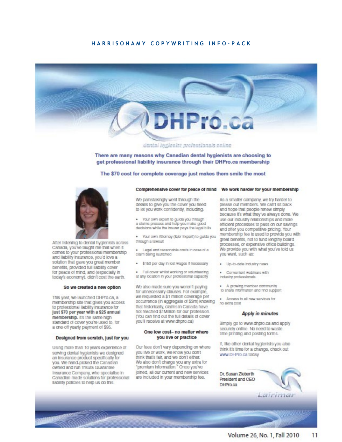#### HARRISONAMY COPYWRITING INFO-PACK



dental hyglenist professionals online

There are many reasons why Canadian dental hygienists are choosing to get professional liability insurance through their DHPro.ca membership

#### The \$70 cost for complete coverage just makes them smile the most



After listening to dental hygienists across Canada, you've taught me that when it comes to your professional membership and liability insurance, you'd love a solution that gave you great member benefits, provided full liability cover for peace of mind, and (especially in today's economy), didn't cost the earth.

#### So we created a new option

This year, we launched DHPro.ca, a membership site that gives you access to professional liability insurance for just \$70 per year with a \$25 annual membership. It's the same high standard of cover you're used to, for a one-off yearly payment of \$95.

#### Designed from scratch, just for you

Using more than 10 years experience of serving dental hygienists we designed an insurance product specifically for you. We hand-picked the Canadian owned and run Trisura Guarantee Insurance Company, who specialise in Canadian made solutions for professional liability policies to help us do this.

#### Comprehensive cover for peace of mind We work harder for your membership

We painstakingly went through the details to give you the cover you need to let you work confidently, including:

. Your own export to guide you through a claims process and help you make good decisions while the insurer pays the legal bills

. Your own Attorney (&/or Expert) to guide you through a lawsuit

· Logal and reasonable costs in case of a claim being launched

- · \$150 per day in lost wages if necessary
- . Full cover whilst working or volunteering at any location in your professional capacity

We also made sure you weren't paying for unnecessary clauses. For example, we requested a \$1 million coverage per occurrence (in aggregate of \$3m) knowing that historically, claims in Canada have not reached \$1Million for our profession. (You can find out the full details of cover you'll receive at www.dhpro.ca)

#### One low cost- no matter where you live or practice

Our fees don't vary depending on where you live or work, we know you don't think that's fair, and we don't either. We also don't charge you any extra for "premium information." Once you've joined, all our current and new services are included in your membership fee.

As a smaller company, we try harder to please our members. We can't sit back and hope that people renew simply because it's what they've always done. We use our industry relationships and more efficient processes to pass on our savings and offer you competitive pricing. Your membership fee is used to provide you with great benefits, not to fund lengthy board processes, or expensive office buildings. We provide you with what you've told us you want, such as:

- · Up-to-data industry naws
- · Convenient webinars with Industry professionals
- · A growing member community to share information and find support
- · Access to all now services for no getra cost

#### Apply in minutes

Simply go to www.dhpro.ca and apply securely online. No need to waste time printing and posting forms.

If, like other dental hygienists you also think it's time for a change, check out www.DHPro.ca today

Dr Susan Zieberth President and CEO DHPro.ca

Lairimai

**CONTRACTOR**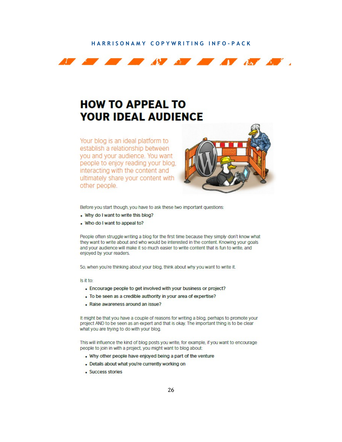#### HARRISONAMY COPYWRITING INFO-PACK



# **HOW TO APPEAL TO YOUR IDEAL AUDIENCE**

Your blog is an ideal platform to establish a relationship between you and your audience. You want people to enjoy reading your blog. interacting with the content and ultimately share your content with other people.



Before you start though, you have to ask these two important questions:

- . Why do I want to write this blog?
- . Who do I want to appeal to?

People often struggle writing a blog for the first time because they simply don't know what they want to write about and who would be interested in the content. Knowing your goals and your audience will make it so much easier to write content that is fun to write, and enjoyed by your readers.

So, when you're thinking about your blog, think about why you want to write it.

Is it to:

- Encourage people to get involved with your business or project?
- To be seen as a credible authority in your area of expertise?
- . Raise awareness around an issue?

It might be that you have a couple of reasons for writing a blog, perhaps to promote your project AND to be seen as an expert and that is okay. The important thing is to be clear what you are trying to do with your blog.

This will influence the kind of blog posts you write, for example, if you want to encourage people to join in with a project, you might want to blog about:

- . Why other people have enjoyed being a part of the venture
- Details about what you're currently working on
- · Success stories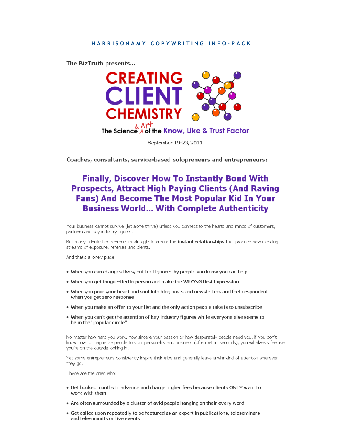The BizTruth presents...



Coaches, consultants, service-based solopreneurs and entrepreneurs:

### **Finally, Discover How To Instantly Bond With Prospects, Attract High Paying Clients (And Raving Fans) And Become The Most Popular Kid In Your Business World... With Complete Authenticity**

Your business cannot survive (let alone thrive) unless you connect to the hearts and minds of customers, partners and key industry figures.

But many talented entrepreneurs struggle to create the instant relationships that produce never-ending streams of exposure, referrals and clients.

And that's a lonely place:

- When you can changes lives, but feel ignored by people you know you can help
- When you get tongue-tied in person and make the WRONG first impression
- When you pour your heart and soul into blog posts and newsletters and feel despondent when you get zero response
- . When you make an offer to your list and the only action people take is to unsubscribe
- . When you can't get the attention of key industry figures while everyone else seems to be in the "popular circle"

No matter how hard you work, how sincere your passion or how desperately people need you, if you don't know how to magnetize people to your personality and business (often within seconds), you will always feel like you're on the outside looking in.

Yet some entrepreneurs consistently inspire their tribe and generally leave a whirlwind of attention wherever they go.

These are the ones who:

- Get booked months in advance and charge higher fees because clients ONLY want to work with them
- Are often surrounded by a cluster of avid people hanging on their every word
- Get called upon repeatedly to be featured as an expert in publications, teleseminars and telesummits or live events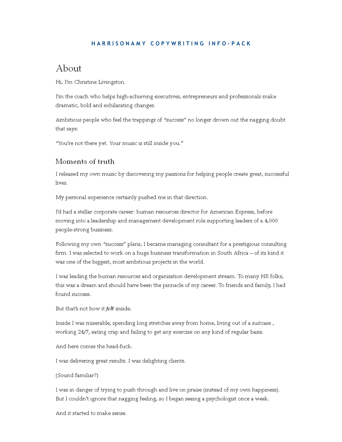#### HARRISONAMY COPYWRITING INFO-PACK

### About

Hi, I'm Christine Livingston.

I'm the coach who helps high-achieving executives, entrepreneurs and professionals make dramatic, bold and exhilarating changes.

Ambitious people who feel the trappings of "success" no longer drown out the nagging doubt that says:

"You're not there yet. Your music is still inside you."

#### Moments of truth

I released my own music by discovering my passions for helping people create great, successful lives.

My personal experience certainly pushed me in that direction.

I'd had a stellar corporate career: human resources director for American Express, before moving into a leadership and management development role supporting leaders of a 4,000 people-strong business.

Following my own "success" plans, I became managing consultant for a prestigious consulting firm. I was selected to work on a huge business transformation in South Africa – of its kind it was one of the biggest, most ambitious projects in the world.

I was leading the human resources and organisation development stream. To many HR folks, this was a dream and should have been the pinnacle of my career. To friends and family, I had found success.

But that's not how it felt inside.

Inside I was miserable, spending long stretches away from home, living out of a suitcase, working 24/7, eating crap and failing to get any exercise on any kind of regular basis.

And here comes the head-fuck.

I was delivering great results. I was delighting clients.

#### (Sound familiar?)

I was in danger of trying to push through and live on praise (instead of my own happiness). But I couldn't ignore that nagging feeling, so I began seeing a psychologist once a week.

And it started to make sense.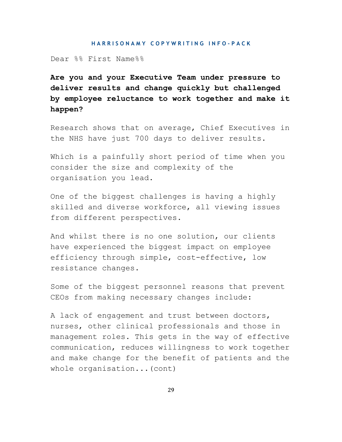Dear %% First Name%%

**Are you and your Executive Team under pressure to deliver results and change quickly but challenged by employee reluctance to work together and make it happen?** 

Research shows that on average, Chief Executives in the NHS have just 700 days to deliver results.

Which is a painfully short period of time when you consider the size and complexity of the organisation you lead.

One of the biggest challenges is having a highly skilled and diverse workforce, all viewing issues from different perspectives.

And whilst there is no one solution, our clients have experienced the biggest impact on employee efficiency through simple, cost-effective, low resistance changes.

Some of the biggest personnel reasons that prevent CEOs from making necessary changes include:

A lack of engagement and trust between doctors, nurses, other clinical professionals and those in management roles. This gets in the way of effective communication, reduces willingness to work together and make change for the benefit of patients and the whole organisation...(cont)

29